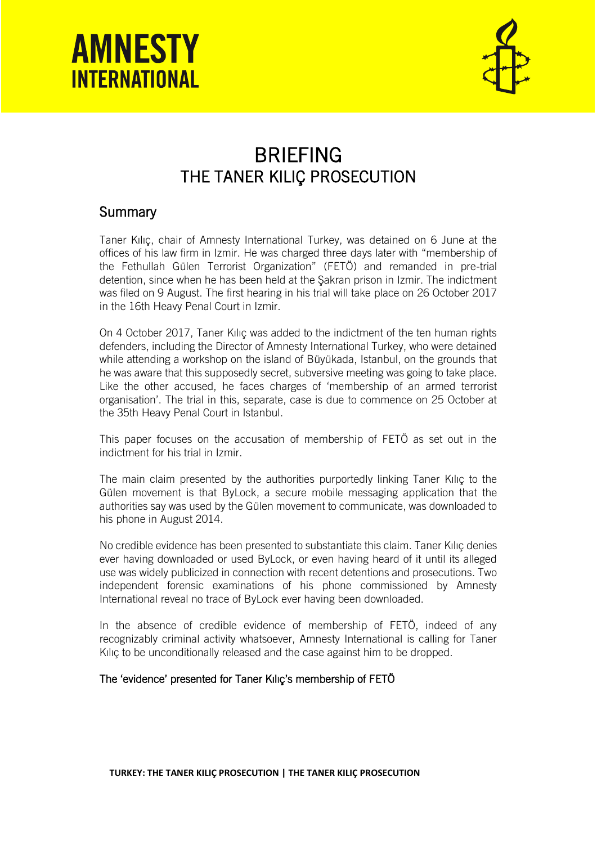



### BRIEFING THE TANER KILIÇ PROSECUTION

### **Summary**

Taner Kılıç, chair of Amnesty International Turkey, was detained on 6 June at the offices of his law firm in Izmir. He was charged three days later with "membership of the Fethullah Gülen Terrorist Organization" (FETÖ) and remanded in pre-trial detention, since when he has been held at the Şakran prison in Izmir. The indictment was filed on 9 August. The first hearing in his trial will take place on 26 October 2017 in the 16th Heavy Penal Court in Izmir.

On 4 October 2017, Taner Kılıç was added to the indictment of the ten human rights defenders, including the Director of Amnesty International Turkey, who were detained while attending a workshop on the island of Büyükada, Istanbul, on the grounds that he was aware that this supposedly secret, subversive meeting was going to take place. Like the other accused, he faces charges of 'membership of an armed terrorist organisation'. The trial in this, separate, case is due to commence on 25 October at the 35th Heavy Penal Court in Istanbul.

This paper focuses on the accusation of membership of FETÖ as set out in the indictment for his trial in Izmir.

The main claim presented by the authorities purportedly linking Taner Kılıç to the Gülen movement is that ByLock, a secure mobile messaging application that the authorities say was used by the Gülen movement to communicate, was downloaded to his phone in August 2014.

No credible evidence has been presented to substantiate this claim. Taner Kılıç denies ever having downloaded or used ByLock, or even having heard of it until its alleged use was widely publicized in connection with recent detentions and prosecutions. Two independent forensic examinations of his phone commissioned by Amnesty International reveal no trace of ByLock ever having been downloaded.

In the absence of credible evidence of membership of FETÖ, indeed of any recognizably criminal activity whatsoever, Amnesty International is calling for Taner Kılıç to be unconditionally released and the case against him to be dropped.

### The 'evidence' presented for Taner Kılıç's membership of FETÖ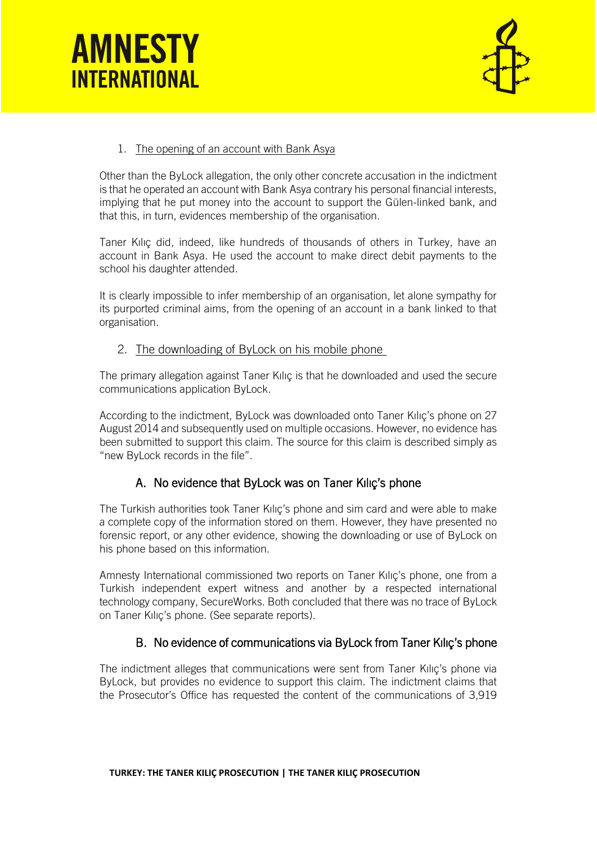



### 1. The opening of an account with Bank Asya

Other than the ByLock allegation, the only other concrete accusation in the indictment is that he operated an account with Bank Asya contrary his personal financial interests, implying that he put money into the account to support the Gülen-linked bank, and that this, in turn, evidences membership of the organisation.

Taner Kılıç did, indeed, like hundreds of thousands of others in Turkey, have an account in Bank Asya. He used the account to make direct debit payments to the school his daughter attended.

It is clearly impossible to infer membership of an organisation, let alone sympathy for its purported criminal aims, from the opening of an account in a bank linked to that organisation.

### 2. The downloading of ByLock on his mobile phone

The primary allegation against Taner Kılıç is that he downloaded and used the secure communications application ByLock.

According to the indictment, ByLock was downloaded onto Taner Kılıç's phone on 27 August 2014 and subsequently used on multiple occasions. However, no evidence has been submitted to support this claim. The source for this claim is described simply as "new ByLock records in the file".

### A. No evidence that ByLock was on Taner Kılıç's phone

The Turkish authorities took Taner Kılıç's phone and sim card and were able to make a complete copy of the information stored on them. However, they have presented no forensic report, or any other evidence, showing the downloading or use of ByLock on his phone based on this information.

Amnesty International commissioned two reports on Taner Kılıç's phone, one from a Turkish independent expert witness and another by a respected international technology company, SecureWorks. Both concluded that there was no trace of ByLock on Taner Kılıç's phone. (See separate reports).

### B. No evidence of communications via ByLock from Taner Kılıç's phone

The indictment alleges that communications were sent from Taner Kılıç's phone via ByLock, but provides no evidence to support this claim. The indictment claims that the Prosecutor's Office has requested the content of the communications of 3,919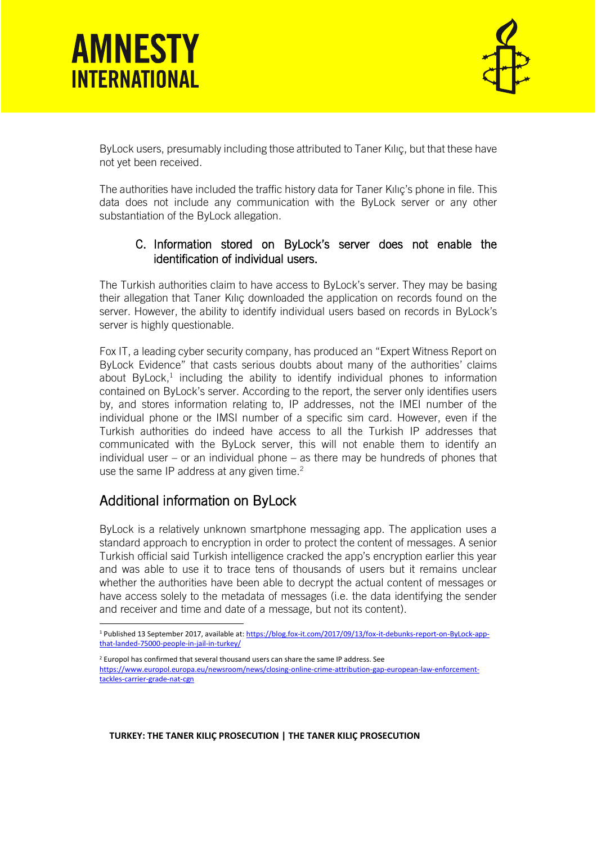

ByLock users, presumably including those attributed to Taner Kılıç, but that these have not yet been received.

The authorities have included the traffic history data for Taner Kılıç's phone in file. This data does not include any communication with the ByLock server or any other substantiation of the ByLock allegation.

### C. Information stored on ByLock's server does not enable the identification of individual users.

The Turkish authorities claim to have access to ByLock's server. They may be basing their allegation that Taner Kılıç downloaded the application on records found on the server. However, the ability to identify individual users based on records in ByLock's server is highly questionable.

Fox IT, a leading cyber security company, has produced an "Expert Witness Report on ByLock Evidence" that casts serious doubts about many of the authorities' claims about ByLock,<sup>1</sup> including the ability to identify individual phones to information contained on ByLock's server. According to the report, the server only identifies users by, and stores information relating to, IP addresses, not the IMEI number of the individual phone or the IMSI number of a specific sim card. However, even if the Turkish authorities do indeed have access to all the Turkish IP addresses that communicated with the ByLock server, this will not enable them to identify an individual user – or an individual phone – as there may be hundreds of phones that use the same IP address at any given time. $2^2$ 

### Additional information on ByLock

 $\overline{a}$ 

ByLock is a relatively unknown smartphone messaging app. The application uses a standard approach to encryption in order to protect the content of messages. A senior Turkish official said Turkish intelligence cracked the app's encryption earlier this year and was able to use it to trace tens of thousands of users but it remains unclear whether the authorities have been able to decrypt the actual content of messages or have access solely to the metadata of messages (i.e. the data identifying the sender and receiver and time and date of a message, but not its content).

### **TURKEY: THE TANER KILIÇ PROSECUTION | THE TANER KILIÇ PROSECUTION**

<sup>1</sup> Published 13 September 2017, available at: [https://blog.fox-it.com/2017/09/13/fox-it-debunks-report-on-ByLock-app](https://blog.fox-it.com/2017/09/13/fox-it-debunks-report-on-bylock-app-that-landed-75000-people-in-jail-in-turkey/)[that-landed-75000-people-in-jail-in-turkey/](https://blog.fox-it.com/2017/09/13/fox-it-debunks-report-on-bylock-app-that-landed-75000-people-in-jail-in-turkey/)

 $2$  Europol has confirmed that several thousand users can share the same IP address. See [https://www.europol.europa.eu/newsroom/news/closing-online-crime-attribution-gap-european-law-enforcement](https://www.europol.europa.eu/newsroom/news/closing-online-crime-attribution-gap-european-law-enforcement-tackles-carrier-grade-nat-cgn)[tackles-carrier-grade-nat-cgn](https://www.europol.europa.eu/newsroom/news/closing-online-crime-attribution-gap-european-law-enforcement-tackles-carrier-grade-nat-cgn)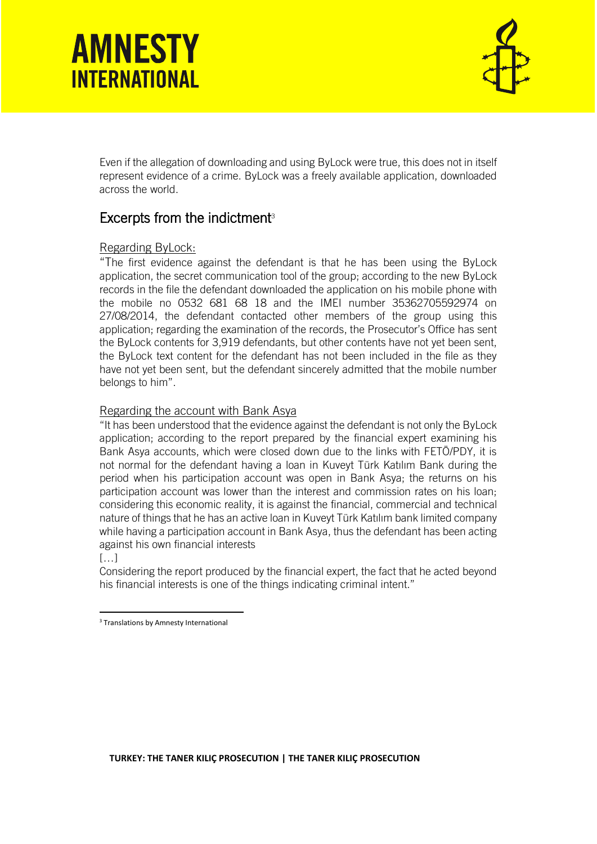

Even if the allegation of downloading and using ByLock were true, this does not in itself represent evidence of a crime. ByLock was a freely available application, downloaded across the world.

### Excerpts from the indictment $3$

### Regarding ByLock:

"The first evidence against the defendant is that he has been using the ByLock application, the secret communication tool of the group; according to the new ByLock records in the file the defendant downloaded the application on his mobile phone with the mobile no 0532 681 68 18 and the IMEI number 35362705592974 on 27/08/2014, the defendant contacted other members of the group using this application; regarding the examination of the records, the Prosecutor's Office has sent the ByLock contents for 3,919 defendants, but other contents have not yet been sent, the ByLock text content for the defendant has not been included in the file as they have not yet been sent, but the defendant sincerely admitted that the mobile number belongs to him".

### Regarding the account with Bank Asya

"It has been understood that the evidence against the defendant is not only the ByLock application; according to the report prepared by the financial expert examining his Bank Asya accounts, which were closed down due to the links with FETÖ/PDY, it is not normal for the defendant having a loan in Kuveyt Türk Katılım Bank during the period when his participation account was open in Bank Asya; the returns on his participation account was lower than the interest and commission rates on his loan; considering this economic reality, it is against the financial, commercial and technical nature of things that he has an active loan in Kuveyt Türk Katılım bank limited company while having a participation account in Bank Asya, thus the defendant has been acting against his own financial interests

### $[...]$

Considering the report produced by the financial expert, the fact that he acted beyond his financial interests is one of the things indicating criminal intent."

1 <sup>3</sup> Translations by Amnesty International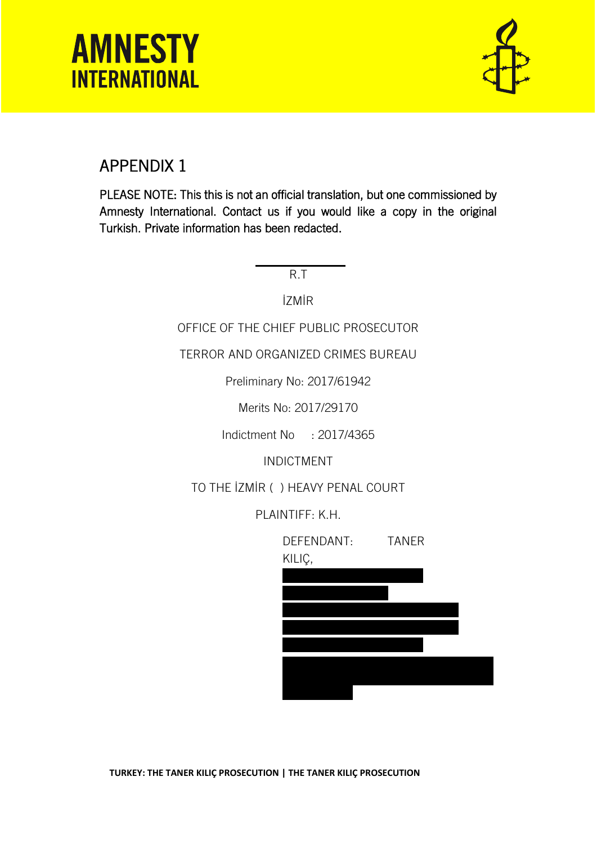

### APPENDIX 1

PLEASE NOTE: This this is not an official translation, but one commissioned by Amnesty International. Contact us if you would like a copy in the original Turkish. Private information has been redacted.

R.T

İZMİR

OFFICE OF THE CHIEF PUBLIC PROSECUTOR

TERROR AND ORGANIZED CRIMES BUREAU

Preliminary No: 2017/61942

Merits No: 2017/29170

Indictment No : 2017/4365

INDICTMENT

TO THE İZMİR ( ) HEAVY PENAL COURT

PLAINTIFF: K.H.

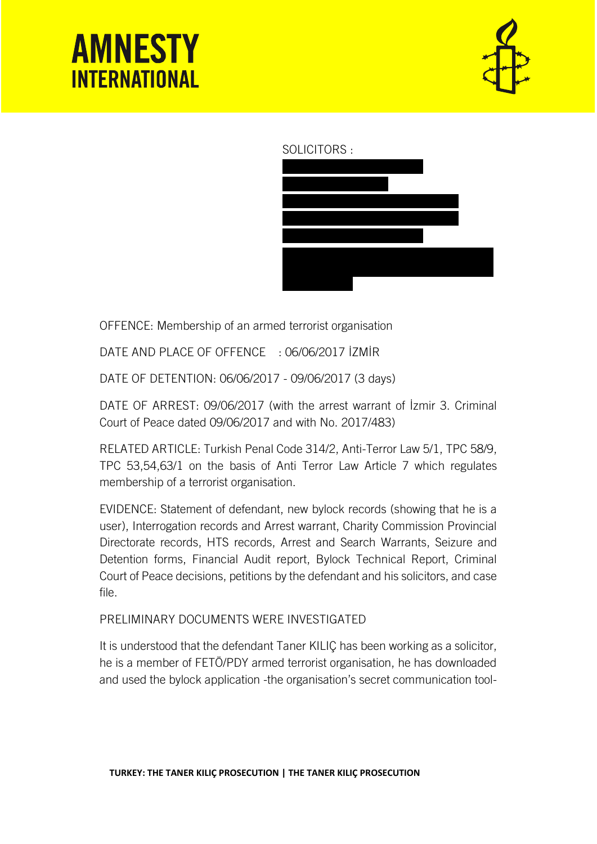

### SOLICITORS :



OFFENCE: Membership of an armed terrorist organisation

DATE AND PLACE OF OFFENCE : 06/06/2017 İZMİR

DATE OF DETENTION: 06/06/2017 - 09/06/2017 (3 days)

DATE OF ARREST: 09/06/2017 (with the arrest warrant of İzmir 3. Criminal Court of Peace dated 09/06/2017 and with No. 2017/483)

RELATED ARTICLE: Turkish Penal Code 314/2, Anti-Terror Law 5/1, TPC 58/9, TPC 53,54,63/1 on the basis of Anti Terror Law Article 7 which regulates membership of a terrorist organisation.

EVIDENCE: Statement of defendant, new bylock records (showing that he is a user), Interrogation records and Arrest warrant, Charity Commission Provincial Directorate records, HTS records, Arrest and Search Warrants, Seizure and Detention forms, Financial Audit report, Bylock Technical Report, Criminal Court of Peace decisions, petitions by the defendant and his solicitors, and case file.

PRELIMINARY DOCUMENTS WERE INVESTIGATED

It is understood that the defendant Taner KILIÇ has been working as a solicitor, he is a member of FETÖ/PDY armed terrorist organisation, he has downloaded and used the bylock application -the organisation's secret communication tool-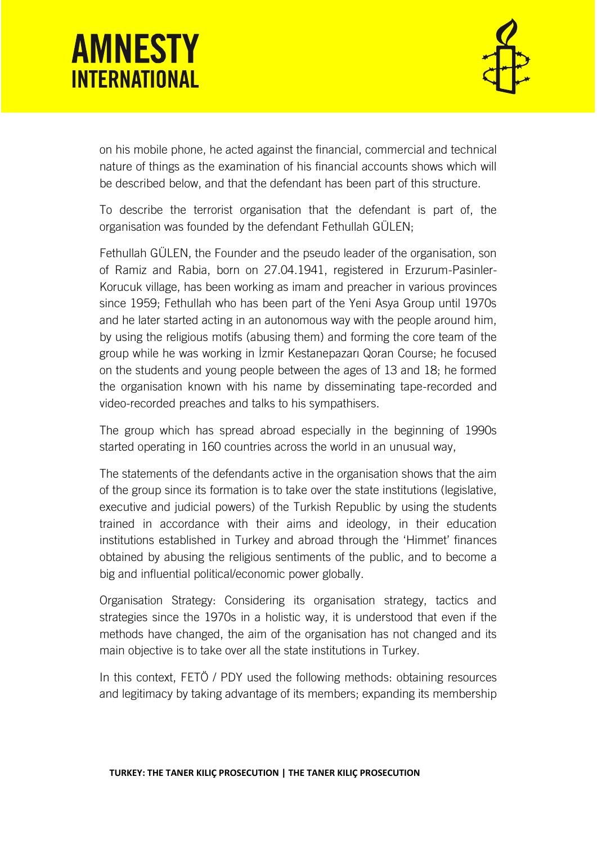

on his mobile phone, he acted against the financial, commercial and technical nature of things as the examination of his financial accounts shows which will be described below, and that the defendant has been part of this structure.

To describe the terrorist organisation that the defendant is part of, the organisation was founded by the defendant Fethullah GÜLEN;

Fethullah GÜLEN, the Founder and the pseudo leader of the organisation, son of Ramiz and Rabia, born on 27.04.1941, registered in Erzurum-Pasinler-Korucuk village, has been working as imam and preacher in various provinces since 1959; Fethullah who has been part of the Yeni Asya Group until 1970s and he later started acting in an autonomous way with the people around him, by using the religious motifs (abusing them) and forming the core team of the group while he was working in İzmir Kestanepazarı Qoran Course; he focused on the students and young people between the ages of 13 and 18; he formed the organisation known with his name by disseminating tape-recorded and video-recorded preaches and talks to his sympathisers.

The group which has spread abroad especially in the beginning of 1990s started operating in 160 countries across the world in an unusual way,

The statements of the defendants active in the organisation shows that the aim of the group since its formation is to take over the state institutions (legislative, executive and judicial powers) of the Turkish Republic by using the students trained in accordance with their aims and ideology, in their education institutions established in Turkey and abroad through the 'Himmet' finances obtained by abusing the religious sentiments of the public, and to become a big and influential political/economic power globally.

Organisation Strategy: Considering its organisation strategy, tactics and strategies since the 1970s in a holistic way, it is understood that even if the methods have changed, the aim of the organisation has not changed and its main objective is to take over all the state institutions in Turkey.

In this context, FETÖ / PDY used the following methods: obtaining resources and legitimacy by taking advantage of its members; expanding its membership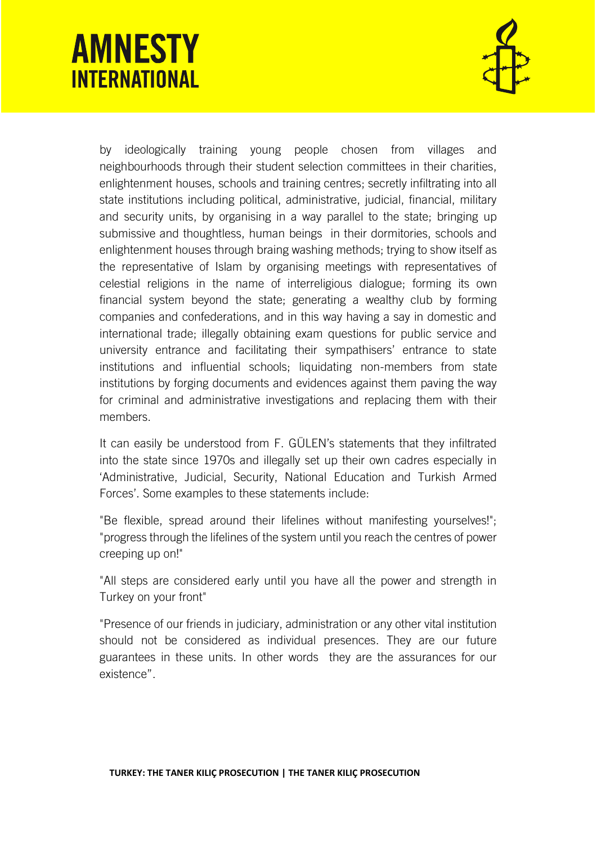

by ideologically training young people chosen from villages and neighbourhoods through their student selection committees in their charities, enlightenment houses, schools and training centres; secretly infiltrating into all state institutions including political, administrative, judicial, financial, military and security units, by organising in a way parallel to the state; bringing up submissive and thoughtless, human beings in their dormitories, schools and enlightenment houses through braing washing methods; trying to show itself as the representative of Islam by organising meetings with representatives of celestial religions in the name of interreligious dialogue; forming its own financial system beyond the state; generating a wealthy club by forming companies and confederations, and in this way having a say in domestic and international trade; illegally obtaining exam questions for public service and university entrance and facilitating their sympathisers' entrance to state institutions and influential schools; liquidating non-members from state institutions by forging documents and evidences against them paving the way for criminal and administrative investigations and replacing them with their members.

It can easily be understood from F. GÜLEN's statements that they infiltrated into the state since 1970s and illegally set up their own cadres especially in 'Administrative, Judicial, Security, National Education and Turkish Armed Forces'. Some examples to these statements include:

"Be flexible, spread around their lifelines without manifesting yourselves!"; "progress through the lifelines of the system until you reach the centres of power creeping up on!"

"All steps are considered early until you have all the power and strength in Turkey on your front"

"Presence of our friends in judiciary, administration or any other vital institution should not be considered as individual presences. They are our future guarantees in these units. In other words they are the assurances for our existence".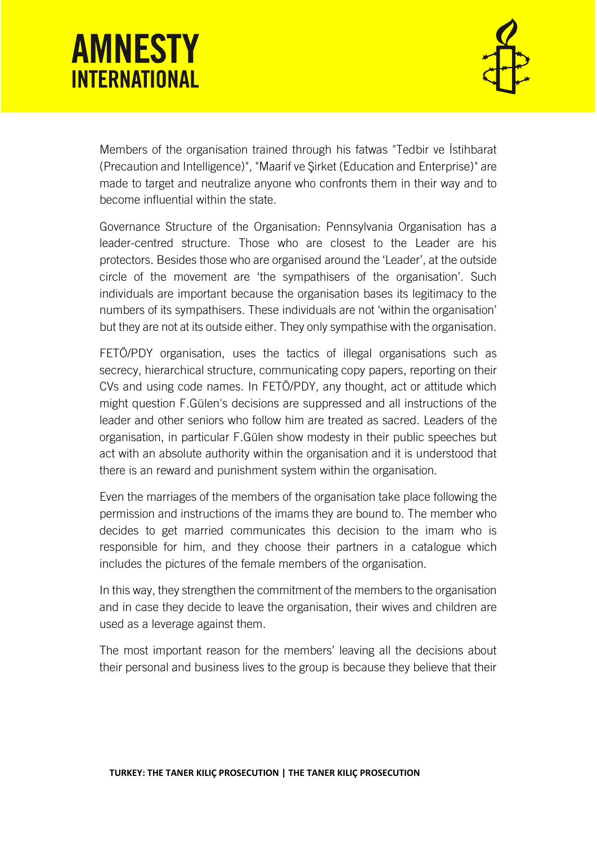

Members of the organisation trained through his fatwas "Tedbir ve İstihbarat (Precaution and Intelligence)", "Maarif ve Şirket (Education and Enterprise)" are made to target and neutralize anyone who confronts them in their way and to become influential within the state.

Governance Structure of the Organisation: Pennsylvania Organisation has a leader-centred structure. Those who are closest to the Leader are his protectors. Besides those who are organised around the 'Leader', at the outside circle of the movement are 'the sympathisers of the organisation'. Such individuals are important because the organisation bases its legitimacy to the numbers of its sympathisers. These individuals are not 'within the organisation' but they are not at its outside either. They only sympathise with the organisation.

FETÖ/PDY organisation, uses the tactics of illegal organisations such as secrecy, hierarchical structure, communicating copy papers, reporting on their CVs and using code names. In FETÖ/PDY, any thought, act or attitude which might question F.Gülen's decisions are suppressed and all instructions of the leader and other seniors who follow him are treated as sacred. Leaders of the organisation, in particular F.Gülen show modesty in their public speeches but act with an absolute authority within the organisation and it is understood that there is an reward and punishment system within the organisation.

Even the marriages of the members of the organisation take place following the permission and instructions of the imams they are bound to. The member who decides to get married communicates this decision to the imam who is responsible for him, and they choose their partners in a catalogue which includes the pictures of the female members of the organisation.

In this way, they strengthen the commitment of the members to the organisation and in case they decide to leave the organisation, their wives and children are used as a leverage against them.

The most important reason for the members' leaving all the decisions about their personal and business lives to the group is because they believe that their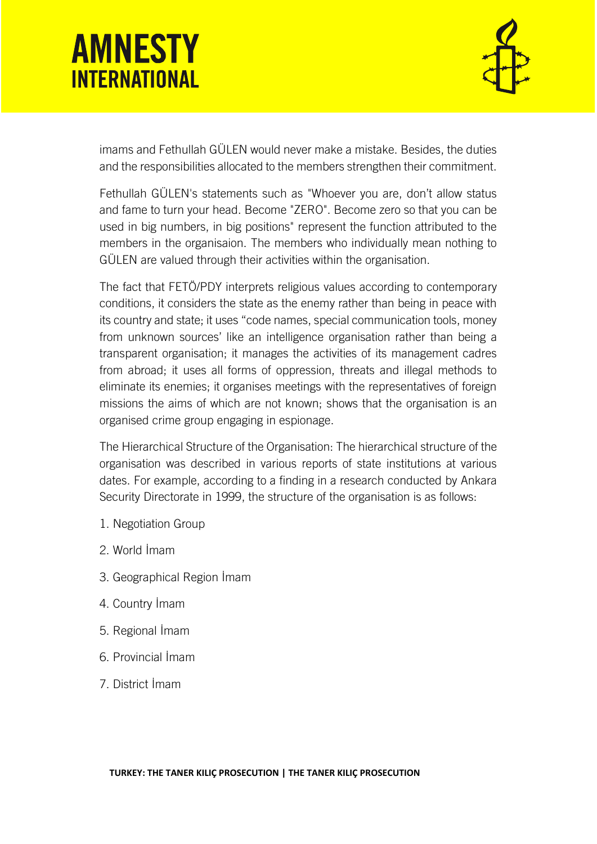

imams and Fethullah GÜLEN would never make a mistake. Besides, the duties and the responsibilities allocated to the members strengthen their commitment.

Fethullah GÜLEN's statements such as "Whoever you are, don't allow status and fame to turn your head. Become "ZERO". Become zero so that you can be used in big numbers, in big positions" represent the function attributed to the members in the organisaion. The members who individually mean nothing to GÜLEN are valued through their activities within the organisation.

The fact that FETÖ/PDY interprets religious values according to contemporary conditions, it considers the state as the enemy rather than being in peace with its country and state; it uses "code names, special communication tools, money from unknown sources' like an intelligence organisation rather than being a transparent organisation; it manages the activities of its management cadres from abroad; it uses all forms of oppression, threats and illegal methods to eliminate its enemies; it organises meetings with the representatives of foreign missions the aims of which are not known; shows that the organisation is an organised crime group engaging in espionage.

The Hierarchical Structure of the Organisation: The hierarchical structure of the organisation was described in various reports of state institutions at various dates. For example, according to a finding in a research conducted by Ankara Security Directorate in 1999, the structure of the organisation is as follows:

- 1. Negotiation Group
- 2. World İmam
- 3. Geographical Region İmam
- 4. Country İmam
- 5. Regional İmam
- 6. Provincial İmam
- 7. District İmam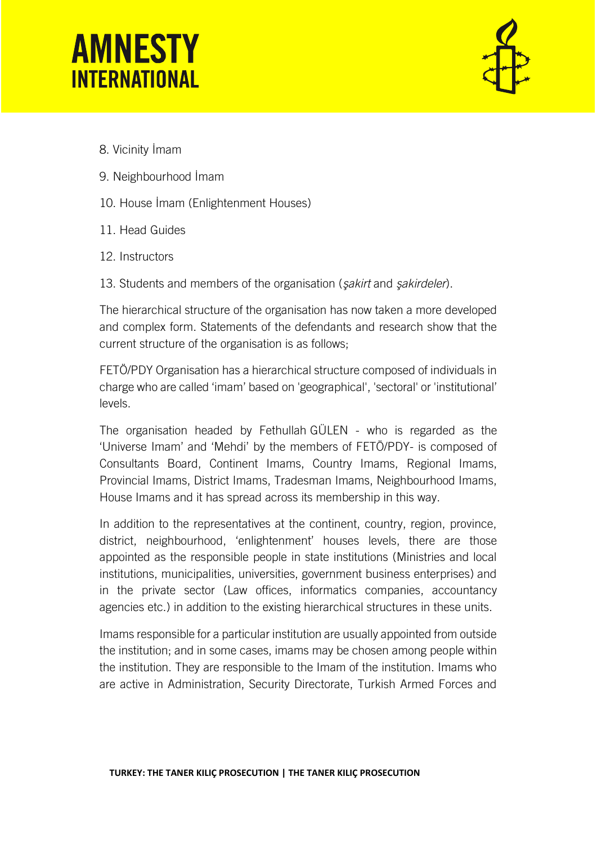

- 8. Vicinity İmam
- 9. Neighbourhood İmam
- 10. House İmam (Enlightenment Houses)
- 11. Head Guides
- 12. Instructors
- 13. Students and members of the organisation (*şakirt* and *şakirdeler*).

The hierarchical structure of the organisation has now taken a more developed and complex form. Statements of the defendants and research show that the current structure of the organisation is as follows;

FETÖ/PDY Organisation has a hierarchical structure composed of individuals in charge who are called 'imam' based on 'geographical', 'sectoral' or 'institutional' levels.

The organisation headed by Fethullah GÜLEN - who is regarded as the 'Universe Imam' and 'Mehdi' by the members of FETÖ/PDY- is composed of Consultants Board, Continent Imams, Country Imams, Regional Imams, Provincial Imams, District Imams, Tradesman Imams, Neighbourhood Imams, House Imams and it has spread across its membership in this way.

In addition to the representatives at the continent, country, region, province, district, neighbourhood, 'enlightenment' houses levels, there are those appointed as the responsible people in state institutions (Ministries and local institutions, municipalities, universities, government business enterprises) and in the private sector (Law offices, informatics companies, accountancy agencies etc.) in addition to the existing hierarchical structures in these units.

Imams responsible for a particular institution are usually appointed from outside the institution; and in some cases, imams may be chosen among people within the institution. They are responsible to the Imam of the institution. Imams who are active in Administration, Security Directorate, Turkish Armed Forces and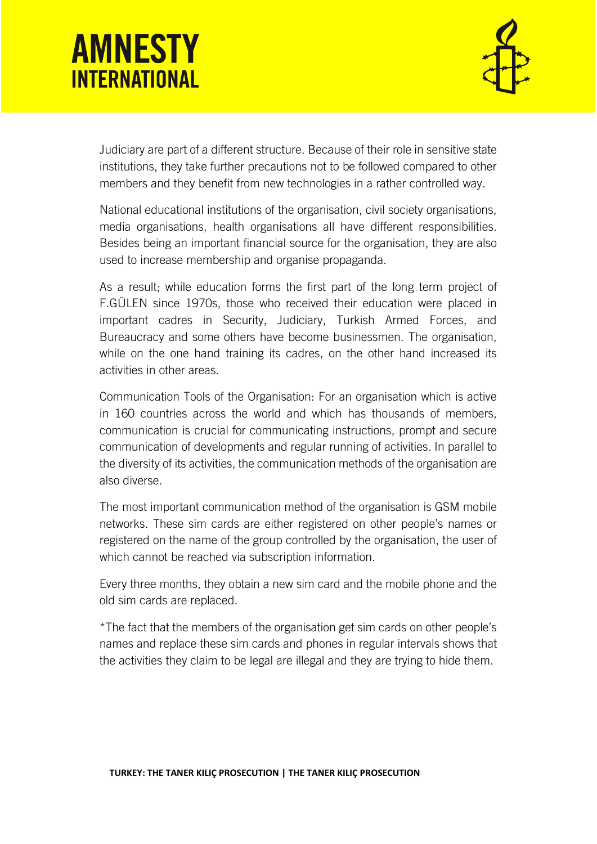

Judiciary are part of a different structure. Because of their role in sensitive state institutions, they take further precautions not to be followed compared to other members and they benefit from new technologies in a rather controlled way.

National educational institutions of the organisation, civil society organisations, media organisations, health organisations all have different responsibilities. Besides being an important financial source for the organisation, they are also used to increase membership and organise propaganda.

As a result; while education forms the first part of the long term project of F.GÜLEN since 1970s, those who received their education were placed in important cadres in Security, Judiciary, Turkish Armed Forces, and Bureaucracy and some others have become businessmen. The organisation, while on the one hand training its cadres, on the other hand increased its activities in other areas.

Communication Tools of the Organisation: For an organisation which is active in 160 countries across the world and which has thousands of members, communication is crucial for communicating instructions, prompt and secure communication of developments and regular running of activities. In parallel to the diversity of its activities, the communication methods of the organisation are also diverse.

The most important communication method of the organisation is GSM mobile networks. These sim cards are either registered on other people's names or registered on the name of the group controlled by the organisation, the user of which cannot be reached via subscription information.

Every three months, they obtain a new sim card and the mobile phone and the old sim cards are replaced.

\*The fact that the members of the organisation get sim cards on other people's names and replace these sim cards and phones in regular intervals shows that the activities they claim to be legal are illegal and they are trying to hide them.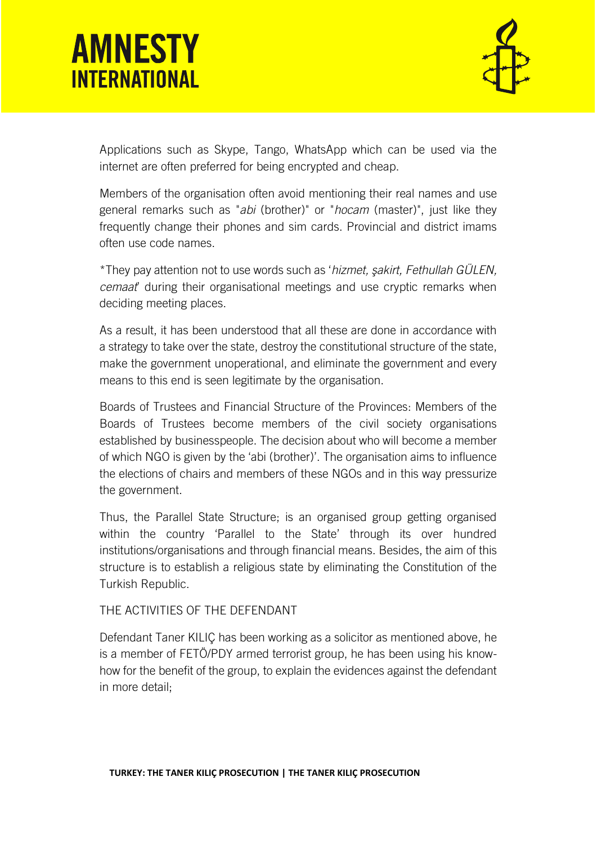

Applications such as Skype, Tango, WhatsApp which can be used via the internet are often preferred for being encrypted and cheap.

Members of the organisation often avoid mentioning their real names and use general remarks such as "*abi* (brother)" or "*hocam* (master)", just like they frequently change their phones and sim cards. Provincial and district imams often use code names.

\*They pay attention not to use words such as '*hizmet, şakirt, Fethullah GÜLEN, cemaat*' during their organisational meetings and use cryptic remarks when deciding meeting places.

As a result, it has been understood that all these are done in accordance with a strategy to take over the state, destroy the constitutional structure of the state, make the government unoperational, and eliminate the government and every means to this end is seen legitimate by the organisation.

Boards of Trustees and Financial Structure of the Provinces: Members of the Boards of Trustees become members of the civil society organisations established by businesspeople. The decision about who will become a member of which NGO is given by the 'abi (brother)'. The organisation aims to influence the elections of chairs and members of these NGOs and in this way pressurize the government.

Thus, the Parallel State Structure; is an organised group getting organised within the country 'Parallel to the State' through its over hundred institutions/organisations and through financial means. Besides, the aim of this structure is to establish a religious state by eliminating the Constitution of the Turkish Republic.

THE ACTIVITIES OF THE DEFENDANT

Defendant Taner KILIÇ has been working as a solicitor as mentioned above, he is a member of FETÖ/PDY armed terrorist group, he has been using his knowhow for the benefit of the group, to explain the evidences against the defendant in more detail;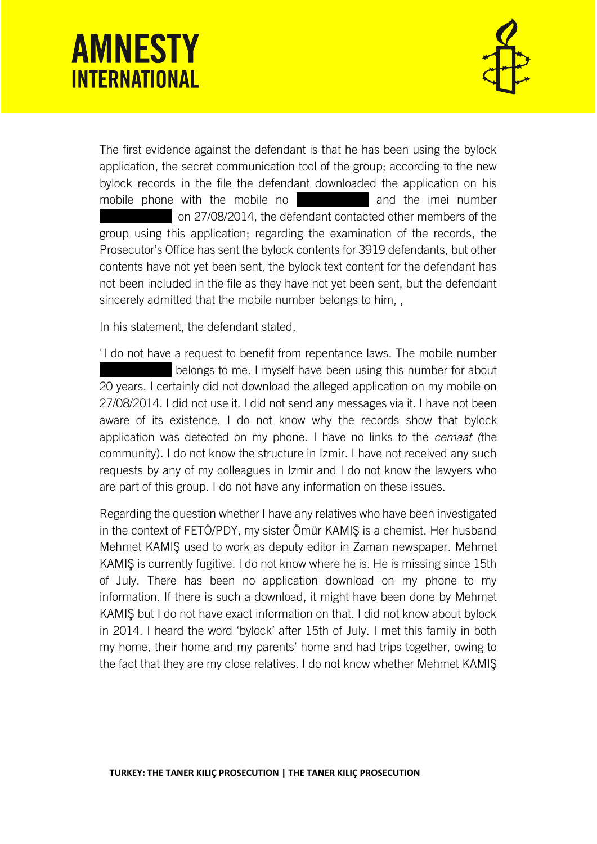

The first evidence against the defendant is that he has been using the bylock application, the secret communication tool of the group; according to the new bylock records in the file the defendant downloaded the application on his mobile phone with the mobile no **interest and the imei number** on 27/08/2014, the defendant contacted other members of the group using this application; regarding the examination of the records, the Prosecutor's Office has sent the bylock contents for 3919 defendants, but other contents have not yet been sent, the bylock text content for the defendant has not been included in the file as they have not yet been sent, but the defendant sincerely admitted that the mobile number belongs to him, ,

In his statement, the defendant stated,

"I do not have a request to benefit from repentance laws. The mobile number belongs to me. I myself have been using this number for about 20 years. I certainly did not download the alleged application on my mobile on 27/08/2014. I did not use it. I did not send any messages via it. I have not been aware of its existence. I do not know why the records show that bylock application was detected on my phone. I have no links to the *cemaat (*the community). I do not know the structure in Izmir. I have not received any such requests by any of my colleagues in Izmir and I do not know the lawyers who are part of this group. I do not have any information on these issues.

Regarding the question whether I have any relatives who have been investigated in the context of FETÖ/PDY, my sister Ömür KAMIŞ is a chemist. Her husband Mehmet KAMIŞ used to work as deputy editor in Zaman newspaper. Mehmet KAMIŞ is currently fugitive. I do not know where he is. He is missing since 15th of July. There has been no application download on my phone to my information. If there is such a download, it might have been done by Mehmet KAMIŞ but I do not have exact information on that. I did not know about bylock in 2014. I heard the word 'bylock' after 15th of July. I met this family in both my home, their home and my parents' home and had trips together, owing to the fact that they are my close relatives. I do not know whether Mehmet KAMIŞ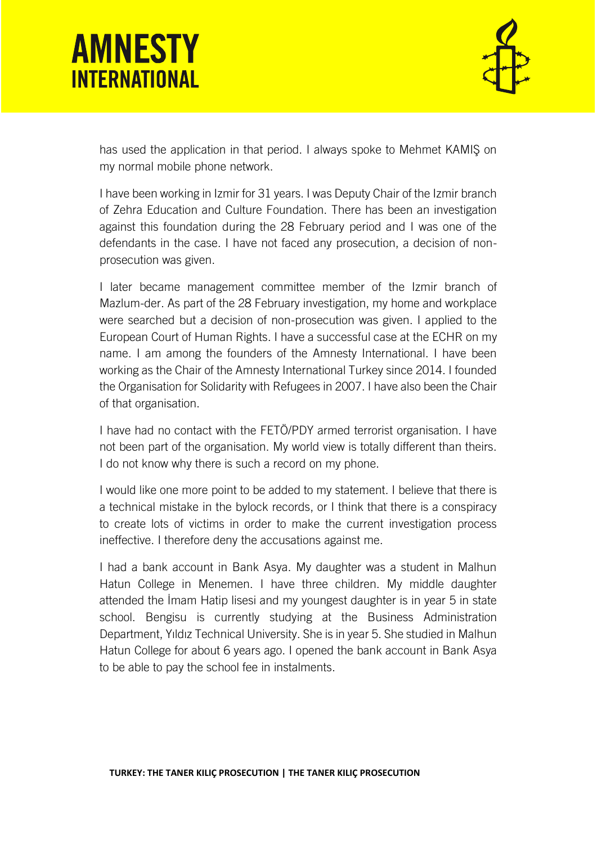

has used the application in that period. I always spoke to Mehmet KAMIŞ on my normal mobile phone network.

I have been working in Izmir for 31 years. I was Deputy Chair of the Izmir branch of Zehra Education and Culture Foundation. There has been an investigation against this foundation during the 28 February period and I was one of the defendants in the case. I have not faced any prosecution, a decision of nonprosecution was given.

I later became management committee member of the Izmir branch of Mazlum-der. As part of the 28 February investigation, my home and workplace were searched but a decision of non-prosecution was given. I applied to the European Court of Human Rights. I have a successful case at the ECHR on my name. I am among the founders of the Amnesty International. I have been working as the Chair of the Amnesty International Turkey since 2014. I founded the Organisation for Solidarity with Refugees in 2007. I have also been the Chair of that organisation.

I have had no contact with the FETÖ/PDY armed terrorist organisation. I have not been part of the organisation. My world view is totally different than theirs. I do not know why there is such a record on my phone.

I would like one more point to be added to my statement. I believe that there is a technical mistake in the bylock records, or I think that there is a conspiracy to create lots of victims in order to make the current investigation process ineffective. I therefore deny the accusations against me.

I had a bank account in Bank Asya. My daughter was a student in Malhun Hatun College in Menemen. I have three children. My middle daughter attended the İmam Hatip lisesi and my youngest daughter is in year 5 in state school. Bengisu is currently studying at the Business Administration Department, Yıldız Technical University. She is in year 5. She studied in Malhun Hatun College for about 6 years ago. I opened the bank account in Bank Asya to be able to pay the school fee in instalments.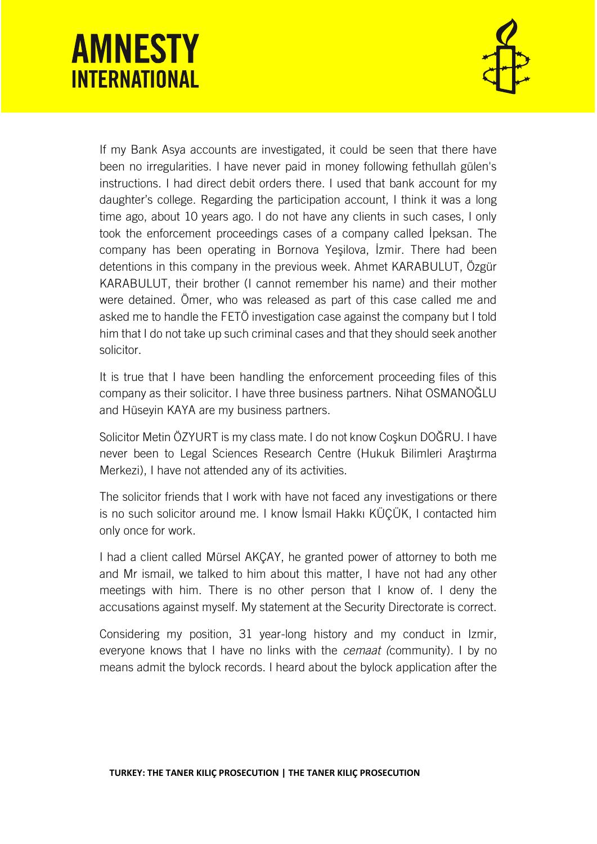

If my Bank Asya accounts are investigated, it could be seen that there have been no irregularities. I have never paid in money following fethullah gülen's instructions. I had direct debit orders there. I used that bank account for my daughter's college. Regarding the participation account, I think it was a long time ago, about 10 years ago. I do not have any clients in such cases, I only took the enforcement proceedings cases of a company called İpeksan. The company has been operating in Bornova Yeşilova, İzmir. There had been detentions in this company in the previous week. Ahmet KARABULUT, Özgür KARABULUT, their brother (I cannot remember his name) and their mother were detained. Ömer, who was released as part of this case called me and asked me to handle the FETÖ investigation case against the company but I told him that I do not take up such criminal cases and that they should seek another solicitor.

It is true that I have been handling the enforcement proceeding files of this company as their solicitor. I have three business partners. Nihat OSMANOĞLU and Hüseyin KAYA are my business partners.

Solicitor Metin ÖZYURT is my class mate. I do not know Coşkun DOĞRU. I have never been to Legal Sciences Research Centre (Hukuk Bilimleri Araştırma Merkezi), I have not attended any of its activities.

The solicitor friends that I work with have not faced any investigations or there is no such solicitor around me. I know İsmail Hakkı KÜÇÜK, I contacted him only once for work.

I had a client called Mürsel AKÇAY, he granted power of attorney to both me and Mr ismail, we talked to him about this matter, I have not had any other meetings with him. There is no other person that I know of. I deny the accusations against myself. My statement at the Security Directorate is correct.

Considering my position, 31 year-long history and my conduct in Izmir, everyone knows that I have no links with the *cemaat (*community). I by no means admit the bylock records. I heard about the bylock application after the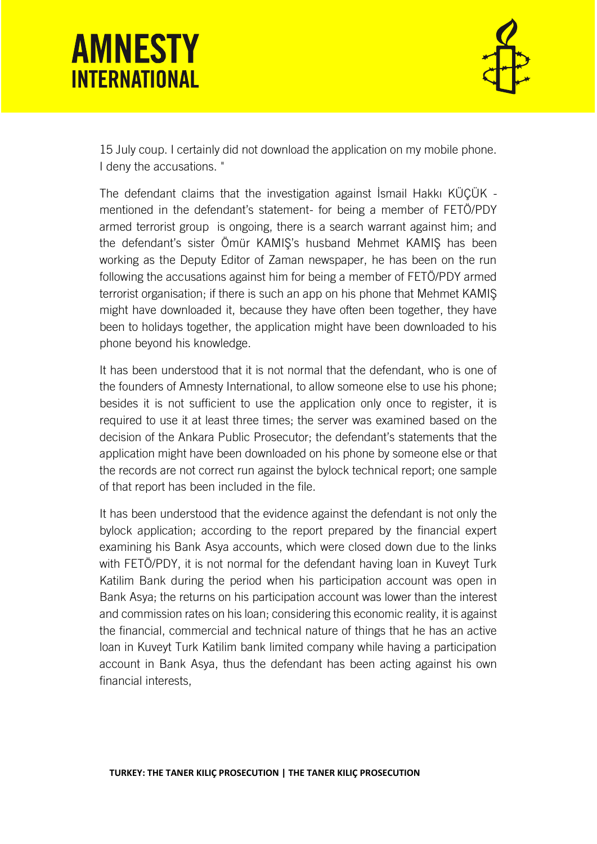

15 July coup. I certainly did not download the application on my mobile phone. I deny the accusations. "

The defendant claims that the investigation against İsmail Hakkı KÜÇÜK mentioned in the defendant's statement- for being a member of FETÖ/PDY armed terrorist group is ongoing, there is a search warrant against him; and the defendant's sister Ömür KAMIŞ's husband Mehmet KAMIŞ has been working as the Deputy Editor of Zaman newspaper, he has been on the run following the accusations against him for being a member of FETÖ/PDY armed terrorist organisation; if there is such an app on his phone that Mehmet KAMIŞ might have downloaded it, because they have often been together, they have been to holidays together, the application might have been downloaded to his phone beyond his knowledge.

It has been understood that it is not normal that the defendant, who is one of the founders of Amnesty International, to allow someone else to use his phone; besides it is not sufficient to use the application only once to register, it is required to use it at least three times; the server was examined based on the decision of the Ankara Public Prosecutor; the defendant's statements that the application might have been downloaded on his phone by someone else or that the records are not correct run against the bylock technical report; one sample of that report has been included in the file.

It has been understood that the evidence against the defendant is not only the bylock application; according to the report prepared by the financial expert examining his Bank Asya accounts, which were closed down due to the links with FETÖ/PDY, it is not normal for the defendant having loan in Kuveyt Turk Katilim Bank during the period when his participation account was open in Bank Asya; the returns on his participation account was lower than the interest and commission rates on his loan; considering this economic reality, it is against the financial, commercial and technical nature of things that he has an active loan in Kuveyt Turk Katilim bank limited company while having a participation account in Bank Asya, thus the defendant has been acting against his own financial interests,